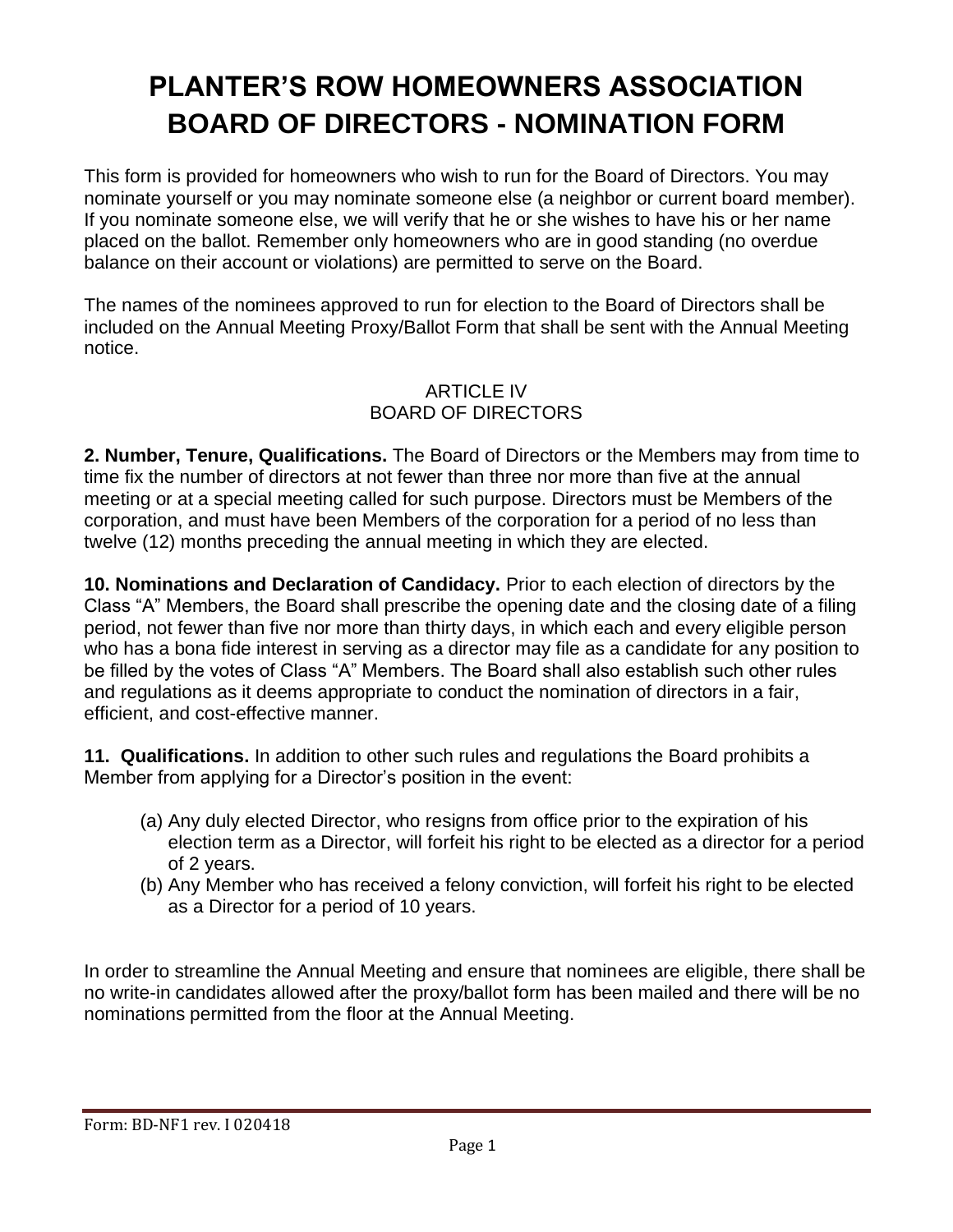## **PLANTER'S ROW HOMEOWNERS ASSOCIATION BOARD OF DIRECTORS - NOMINATION FORM**

This form is provided for homeowners who wish to run for the Board of Directors. You may nominate yourself or you may nominate someone else (a neighbor or current board member). If you nominate someone else, we will verify that he or she wishes to have his or her name placed on the ballot. Remember only homeowners who are in good standing (no overdue balance on their account or violations) are permitted to serve on the Board.

The names of the nominees approved to run for election to the Board of Directors shall be included on the Annual Meeting Proxy/Ballot Form that shall be sent with the Annual Meeting notice.

## ARTICLE IV BOARD OF DIRECTORS

**2. Number, Tenure, Qualifications.** The Board of Directors or the Members may from time to time fix the number of directors at not fewer than three nor more than five at the annual meeting or at a special meeting called for such purpose. Directors must be Members of the corporation, and must have been Members of the corporation for a period of no less than twelve (12) months preceding the annual meeting in which they are elected.

**10. Nominations and Declaration of Candidacy.** Prior to each election of directors by the Class "A" Members, the Board shall prescribe the opening date and the closing date of a filing period, not fewer than five nor more than thirty days, in which each and every eligible person who has a bona fide interest in serving as a director may file as a candidate for any position to be filled by the votes of Class "A" Members. The Board shall also establish such other rules and regulations as it deems appropriate to conduct the nomination of directors in a fair, efficient, and cost-effective manner.

**11. Qualifications.** In addition to other such rules and regulations the Board prohibits a Member from applying for a Director's position in the event:

- (a) Any duly elected Director, who resigns from office prior to the expiration of his election term as a Director, will forfeit his right to be elected as a director for a period of 2 years.
- (b) Any Member who has received a felony conviction, will forfeit his right to be elected as a Director for a period of 10 years.

In order to streamline the Annual Meeting and ensure that nominees are eligible, there shall be no write-in candidates allowed after the proxy/ballot form has been mailed and there will be no nominations permitted from the floor at the Annual Meeting.